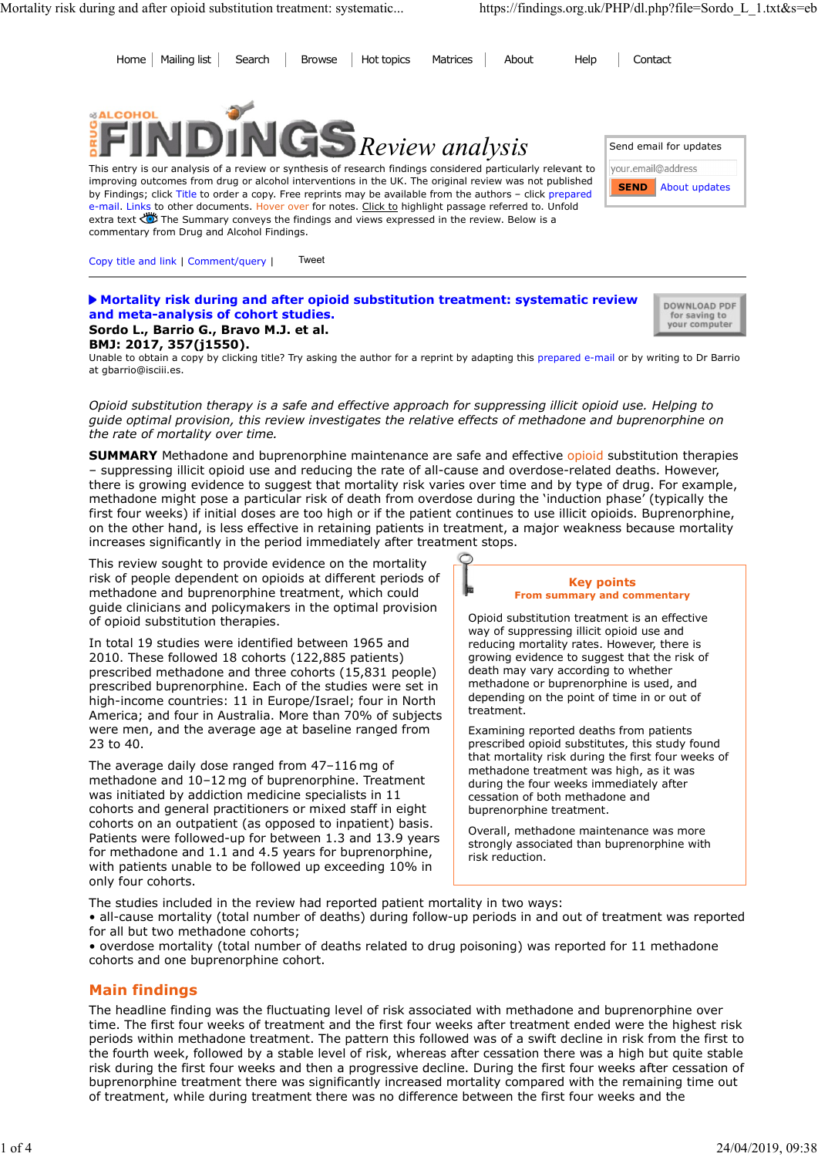Send email for updates

Home Mailing list Search Browse Hot topics Matrices About Help Contact Mortality risk during and after opioid substitution treatment: systematic... https://findings.org.uk/PHP/dl.php?file=Sordo\_L\_1.txt&s=eb<br>
Home | Mailing list | Search | Browse | Hot topics | Matrices | About | Help | Contac



This entry is our analysis of a review or synthesis of research findings considered particularly relevant to vour.email@address improving outcomes from drug or alcohol interventions in the UK. The original review was not published by Findings; click Title to order a copy. Free reprints may be available from the authors – click prepared e-mail. Links to other documents. Hover over for notes. Click to highlight passage referred to. Unfold extra text < The Summary conveys the findings and views expressed in the review. Below is a commentary from Drug and Alcohol Findings.

Copy title and link | Comment/query | Tweet

**Mortality risk during and after opioid substitution treatment: systematic review** a pownload PDF and meta-analysis of cohort studies. Sordo L., Barrio G., Bravo M.J. et al.

for saving to<br>your computer

**SEND** About updates

# BMJ: 2017, 357(j1550).

Unable to obtain a copy by clicking title? Try asking the author for a reprint by adapting this prepared e-mail or by writing to Dr Barrio at gbarrio@isciii.es.

Opioid substitution therapy is a safe and effective approach for suppressing illicit opioid use. Helping to guide optimal provision, this review investigates the relative effects of methadone and buprenorphine on the rate of mortality over time.

**SUMMARY** Methadone and buprenorphine maintenance are safe and effective opioid substitution therapies – suppressing illicit opioid use and reducing the rate of all-cause and overdose-related deaths. However, there is growing evidence to suggest that mortality risk varies over time and by type of drug. For example, methadone might pose a particular risk of death from overdose during the 'induction phase' (typically the first four weeks) if initial doses are too high or if the patient continues to use illicit opioids. Buprenorphine, on the other hand, is less effective in retaining patients in treatment, a major weakness because mortality increases significantly in the period immediately after treatment stops.

This review sought to provide evidence on the mortality risk of people dependent on opioids at different periods of methadone and buprenorphine treatment, which could guide clinicians and policymakers in the optimal provision of opioid substitution therapies.

In total 19 studies were identified between 1965 and 2010. These followed 18 cohorts (122,885 patients) prescribed methadone and three cohorts (15,831 people) prescribed buprenorphine. Each of the studies were set in high-income countries: 11 in Europe/Israel; four in North America; and four in Australia. More than 70% of subjects were men, and the average age at baseline ranged from 23 to 40.

The average daily dose ranged from 47–116 mg of methadone and 10–12 mg of buprenorphine. Treatment was initiated by addiction medicine specialists in 11 cohorts and general practitioners or mixed staff in eight cohorts on an outpatient (as opposed to inpatient) basis. Patients were followed-up for between 1.3 and 13.9 years for methadone and 1.1 and 4.5 years for buprenorphine, with patients unable to be followed up exceeding 10% in only four cohorts.

### Key points From summary and commentary

Opioid substitution treatment is an effective way of suppressing illicit opioid use and reducing mortality rates. However, there is growing evidence to suggest that the risk of death may vary according to whether methadone or buprenorphine is used, and depending on the point of time in or out of treatment.

Examining reported deaths from patients prescribed opioid substitutes, this study found that mortality risk during the first four weeks of methadone treatment was high, as it was during the four weeks immediately after cessation of both methadone and buprenorphine treatment.

Overall, methadone maintenance was more strongly associated than buprenorphine with risk reduction.

The studies included in the review had reported patient mortality in two ways: • all-cause mortality (total number of deaths) during follow-up periods in and out of treatment was reported for all but two methadone cohorts;

• overdose mortality (total number of deaths related to drug poisoning) was reported for 11 methadone cohorts and one buprenorphine cohort.

### Main findings

The headline finding was the fluctuating level of risk associated with methadone and buprenorphine over time. The first four weeks of treatment and the first four weeks after treatment ended were the highest risk periods within methadone treatment. The pattern this followed was of a swift decline in risk from the first to the fourth week, followed by a stable level of risk, whereas after cessation there was a high but quite stable risk during the first four weeks and then a progressive decline. During the first four weeks after cessation of buprenorphine treatment there was significantly increased mortality compared with the remaining time out of treatment, while during treatment there was no difference between the first four weeks and the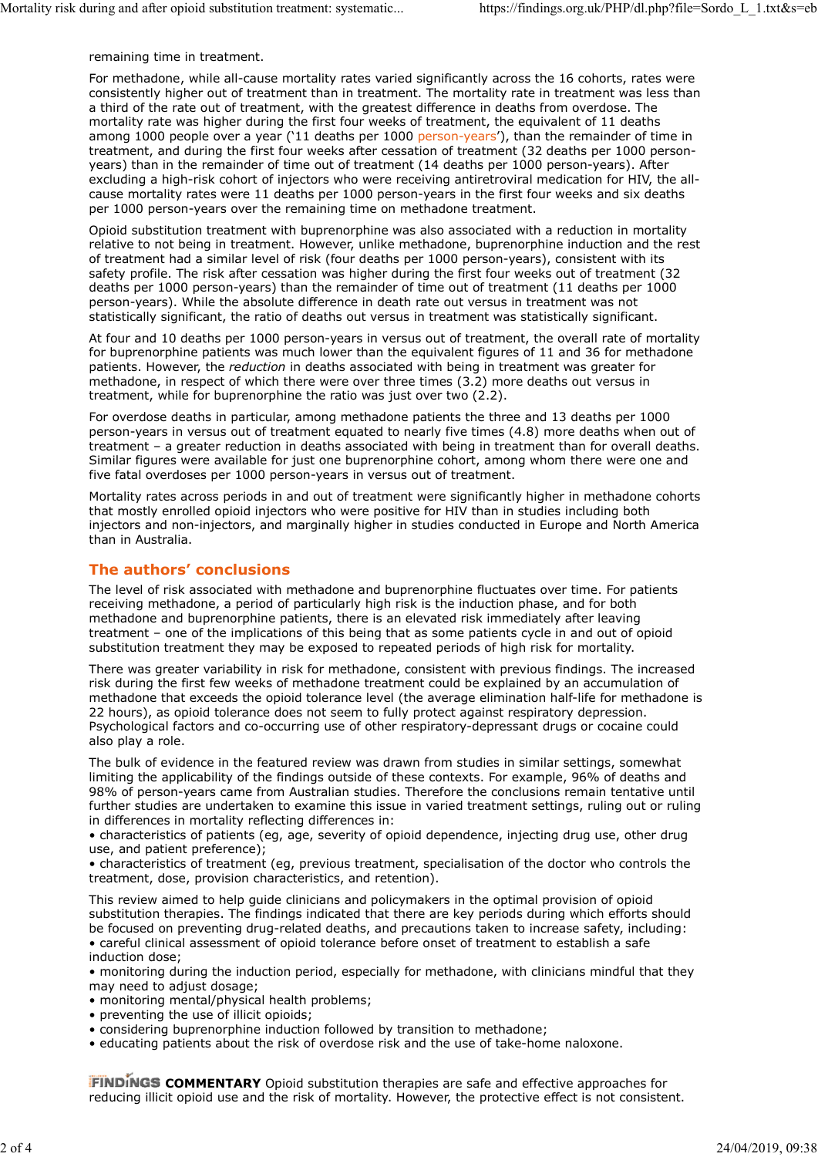remaining time in treatment.

For methadone, while all-cause mortality rates varied significantly across the 16 cohorts, rates were consistently higher out of treatment than in treatment. The mortality rate in treatment was less than a third of the rate out of treatment, with the greatest difference in deaths from overdose. The mortality rate was higher during the first four weeks of treatment, the equivalent of 11 deaths among 1000 people over a year (`11 deaths per 1000 person-years'), than the remainder of time in treatment, and during the first four weeks after cessation of treatment (32 deaths per 1000 personyears) than in the remainder of time out of treatment (14 deaths per 1000 person-years). After excluding a high-risk cohort of injectors who were receiving antiretroviral medication for HIV, the allcause mortality rates were 11 deaths per 1000 person-years in the first four weeks and six deaths per 1000 person-years over the remaining time on methadone treatment. Mortality risk during and after opioid substitution treatment: systematic... https://findings.org.uk/PHP/dl.php?file=Sordo\_L\_1.txt&s=eb<br>remaining time in treatment.<br>For methadone, while all-cause mortality rates varied sig

Opioid substitution treatment with buprenorphine was also associated with a reduction in mortality relative to not being in treatment. However, unlike methadone, buprenorphine induction and the rest of treatment had a similar level of risk (four deaths per 1000 person-years), consistent with its safety profile. The risk after cessation was higher during the first four weeks out of treatment (32 deaths per 1000 person-years) than the remainder of time out of treatment (11 deaths per 1000 person-years). While the absolute difference in death rate out versus in treatment was not statistically significant, the ratio of deaths out versus in treatment was statistically significant.

At four and 10 deaths per 1000 person-years in versus out of treatment, the overall rate of mortality for buprenorphine patients was much lower than the equivalent figures of 11 and 36 for methadone patients. However, the *reduction* in deaths associated with being in treatment was greater for methadone, in respect of which there were over three times (3.2) more deaths out versus in treatment, while for buprenorphine the ratio was just over two (2.2).

For overdose deaths in particular, among methadone patients the three and 13 deaths per 1000 person-years in versus out of treatment equated to nearly five times (4.8) more deaths when out of treatment – a greater reduction in deaths associated with being in treatment than for overall deaths. Similar figures were available for just one buprenorphine cohort, among whom there were one and five fatal overdoses per 1000 person-years in versus out of treatment.

Mortality rates across periods in and out of treatment were significantly higher in methadone cohorts that mostly enrolled opioid injectors who were positive for HIV than in studies including both injectors and non-injectors, and marginally higher in studies conducted in Europe and North America than in Australia.

# The authors' conclusions

The level of risk associated with methadone and buprenorphine fluctuates over time. For patients receiving methadone, a period of particularly high risk is the induction phase, and for both methadone and buprenorphine patients, there is an elevated risk immediately after leaving treatment – one of the implications of this being that as some patients cycle in and out of opioid substitution treatment they may be exposed to repeated periods of high risk for mortality.

There was greater variability in risk for methadone, consistent with previous findings. The increased risk during the first few weeks of methadone treatment could be explained by an accumulation of methadone that exceeds the opioid tolerance level (the average elimination half-life for methadone is 22 hours), as opioid tolerance does not seem to fully protect against respiratory depression. Psychological factors and co-occurring use of other respiratory-depressant drugs or cocaine could also play a role.

The bulk of evidence in the featured review was drawn from studies in similar settings, somewhat limiting the applicability of the findings outside of these contexts. For example, 96% of deaths and 98% of person-years came from Australian studies. Therefore the conclusions remain tentative until further studies are undertaken to examine this issue in varied treatment settings, ruling out or ruling in differences in mortality reflecting differences in:

• characteristics of patients (eg, age, severity of opioid dependence, injecting drug use, other drug use, and patient preference);

• characteristics of treatment (eg, previous treatment, specialisation of the doctor who controls the treatment, dose, provision characteristics, and retention).

This review aimed to help guide clinicians and policymakers in the optimal provision of opioid substitution therapies. The findings indicated that there are key periods during which efforts should be focused on preventing drug-related deaths, and precautions taken to increase safety, including: • careful clinical assessment of opioid tolerance before onset of treatment to establish a safe induction dose;

• monitoring during the induction period, especially for methadone, with clinicians mindful that they may need to adjust dosage:

• monitoring mental/physical health problems;

- preventing the use of illicit opioids;
- considering buprenorphine induction followed by transition to methadone;
- educating patients about the risk of overdose risk and the use of take-home naloxone.

**FINDINGS COMMENTARY** Opioid substitution therapies are safe and effective approaches for reducing illicit opioid use and the risk of mortality. However, the protective effect is not consistent.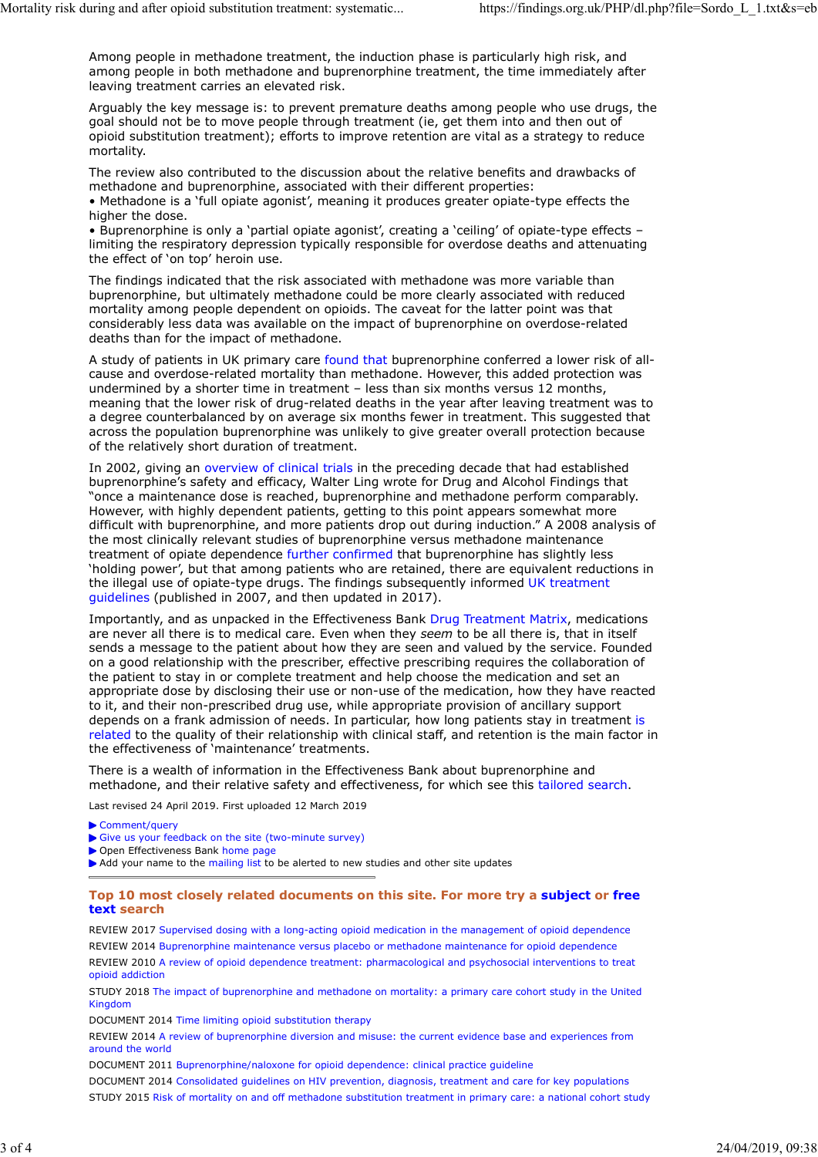Among people in methadone treatment, the induction phase is particularly high risk, and among people in both methadone and buprenorphine treatment, the time immediately after leaving treatment carries an elevated risk. Mortality risk during and after opioid substitution treatment: systematic...<br>
Among people in methadone treatment, the induction phase is particularly high risk, and<br>
among people in both methadone and buprenorphine treatm

Arguably the key message is: to prevent premature deaths among people who use drugs, the goal should not be to move people through treatment (ie, get them into and then out of opioid substitution treatment); efforts to improve retention are vital as a strategy to reduce mortality.

The review also contributed to the discussion about the relative benefits and drawbacks of methadone and buprenorphine, associated with their different properties:

• Methadone is a 'full opiate agonist', meaning it produces greater opiate-type effects the higher the dose.

• Buprenorphine is only a 'partial opiate agonist', creating a 'ceiling' of opiate-type effects – limiting the respiratory depression typically responsible for overdose deaths and attenuating the effect of 'on top' heroin use.

The findings indicated that the risk associated with methadone was more variable than buprenorphine, but ultimately methadone could be more clearly associated with reduced mortality among people dependent on opioids. The caveat for the latter point was that considerably less data was available on the impact of buprenorphine on overdose-related deaths than for the impact of methadone.

A study of patients in UK primary care found that buprenorphine conferred a lower risk of allcause and overdose-related mortality than methadone. However, this added protection was undermined by a shorter time in treatment – less than six months versus 12 months, meaning that the lower risk of drug-related deaths in the year after leaving treatment was to a degree counterbalanced by on average six months fewer in treatment. This suggested that across the population buprenorphine was unlikely to give greater overall protection because of the relatively short duration of treatment.

In 2002, giving an overview of clinical trials in the preceding decade that had established buprenorphine's safety and efficacy, Walter Ling wrote for Drug and Alcohol Findings that "once a maintenance dose is reached, buprenorphine and methadone perform comparably. However, with highly dependent patients, getting to this point appears somewhat more difficult with buprenorphine, and more patients drop out during induction." A 2008 analysis of the most clinically relevant studies of buprenorphine versus methadone maintenance treatment of opiate dependence further confirmed that buprenorphine has slightly less 'holding power', but that among patients who are retained, there are equivalent reductions in the illegal use of opiate-type drugs. The findings subsequently informed UK treatment guidelines (published in 2007, and then updated in 2017).

Importantly, and as unpacked in the Effectiveness Bank Drug Treatment Matrix, medications are never all there is to medical care. Even when they seem to be all there is, that in itself sends a message to the patient about how they are seen and valued by the service. Founded on a good relationship with the prescriber, effective prescribing requires the collaboration of the patient to stay in or complete treatment and help choose the medication and set an appropriate dose by disclosing their use or non-use of the medication, how they have reacted to it, and their non-prescribed drug use, while appropriate provision of ancillary support depends on a frank admission of needs. In particular, how long patients stay in treatment is related to the quality of their relationship with clinical staff, and retention is the main factor in the effectiveness of 'maintenance' treatments.

There is a wealth of information in the Effectiveness Bank about buprenorphine and methadone, and their relative safety and effectiveness, for which see this tailored search.

Last revised 24 April 2019. First uploaded 12 March 2019

▶ Comment/query

- Give us your feedback on the site (two-minute survey)
- Open Effectiveness Bank home page

Add your name to the mailing list to be alerted to new studies and other site updates

### Top 10 most closely related documents on this site. For more try a subject or free text search

REVIEW 2017 Supervised dosing with a long-acting opioid medication in the management of opioid dependence REVIEW 2014 Buprenorphine maintenance versus placebo or methadone maintenance for opioid dependence REVIEW 2010 A review of opioid dependence treatment: pharmacological and psychosocial interventions to treat opioid addiction

STUDY 2018 The impact of buprenorphine and methadone on mortality: a primary care cohort study in the United Kingdom

DOCUMENT 2014 Time limiting opioid substitution therapy

REVIEW 2014 A review of buprenorphine diversion and misuse: the current evidence base and experiences from around the world

DOCUMENT 2011 Buprenorphine/naloxone for opioid dependence: clinical practice guideline

DOCUMENT 2014 Consolidated guidelines on HIV prevention, diagnosis, treatment and care for key populations

STUDY 2015 Risk of mortality on and off methadone substitution treatment in primary care: a national cohort study